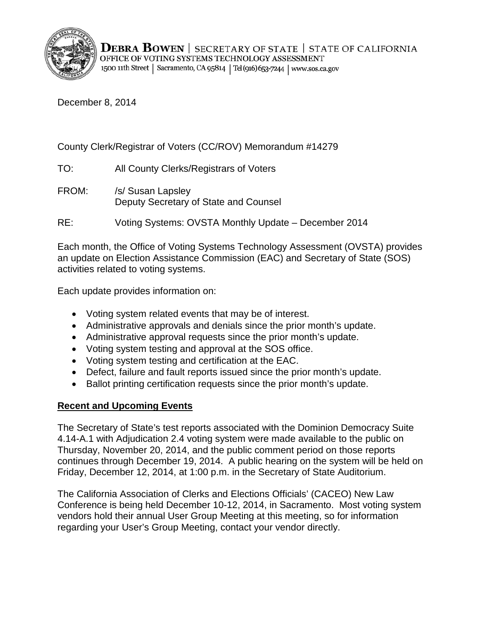

December 8, 2014

County Clerk/Registrar of Voters (CC/ROV) Memorandum #14279

TO: All County Clerks/Registrars of Voters

FROM: /s/ Susan Lapsley Deputy Secretary of State and Counsel

RE: Voting Systems: OVSTA Monthly Update – December 2014

Each month, the Office of Voting Systems Technology Assessment (OVSTA) provides an update on Election Assistance Commission (EAC) and Secretary of State (SOS) activities related to voting systems.

Each update provides information on:

- Voting system related events that may be of interest.
- Administrative approvals and denials since the prior month's update.
- Administrative approval requests since the prior month's update.
- Voting system testing and approval at the SOS office.
- Voting system testing and certification at the EAC.
- Defect, failure and fault reports issued since the prior month's update.
- Ballot printing certification requests since the prior month's update.

# **Recent and Upcoming Events**

The Secretary of State's test reports associated with the Dominion Democracy Suite 4.14-A.1 with Adjudication 2.4 voting system were made available to the public on Thursday, November 20, 2014, and the public comment period on those reports continues through December 19, 2014. A public hearing on the system will be held on Friday, December 12, 2014, at 1:00 p.m. in the Secretary of State Auditorium.

The California Association of Clerks and Elections Officials' (CACEO) New Law Conference is being held December 10-12, 2014, in Sacramento. Most voting system vendors hold their annual User Group Meeting at this meeting, so for information regarding your User's Group Meeting, contact your vendor directly.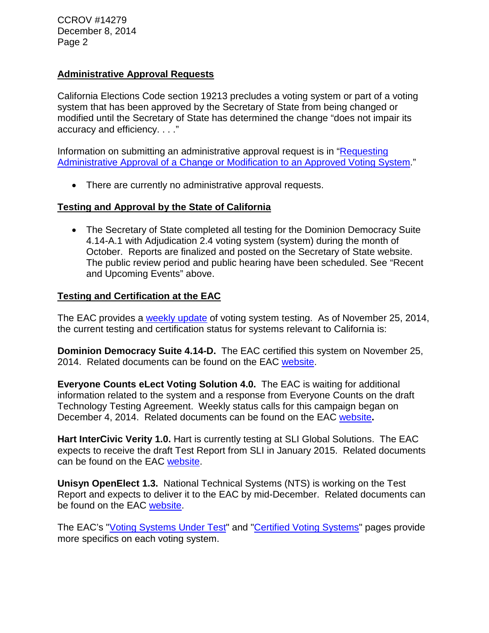CCROV #14279 December 8, 2014 Page 2

## **Administrative Approval Requests**

California Elections Code section 19213 precludes a voting system or part of a voting system that has been approved by the Secretary of State from being changed or modified until the Secretary of State has determined the change "does not impair its accuracy and efficiency. . . ."

Information on submitting an administrative approval request is in ["Requesting](http://www.sos.ca.gov/voting-systems/cert-and-approval/vsysapproval/admin-approval-requirements2012.pdf)  [Administrative Approval of a Change or Modification to an Approved Voting System.](http://www.sos.ca.gov/voting-systems/cert-and-approval/vsysapproval/admin-approval-requirements2012.pdf)"

• There are currently no administrative approval requests.

### **Testing and Approval by the State of California**

• The Secretary of State completed all testing for the Dominion Democracy Suite 4.14-A.1 with Adjudication 2.4 voting system (system) during the month of October. Reports are finalized and posted on the Secretary of State website. The public review period and public hearing have been scheduled. See "Recent and Upcoming Events" above.

### **Testing and Certification at the EAC**

The EAC provides a [weekly update](http://www.eac.gov/blogs/voting_system_testing_update_112514/) of voting system testing. As of November 25, 2014, the current testing and certification status for systems relevant to California is:

**Dominion Democracy Suite 4.14-D.** The EAC certified this system on November 25, 2014. Related documents can be found on the EAC [website.](http://www.eac.gov/testing_and_certification/certified_voting_systems.aspx)

**Everyone Counts eLect Voting Solution 4.0.** The EAC is waiting for additional information related to the system and a response from Everyone Counts on the draft Technology Testing Agreement. Weekly status calls for this campaign began on December 4, 2014. Related documents can be found on the EAC [website](http://www.eac.gov/testing_and_certification/voting_systems_under_test.aspx)**.**

**Hart InterCivic Verity 1.0.** Hart is currently testing at SLI Global Solutions. The EAC expects to receive the draft Test Report from SLI in January 2015. Related documents can be found on the EAC [website.](http://www.eac.gov/testing_and_certification/voting_systems_under_test.aspx)

**Unisyn OpenElect 1.3.** National Technical Systems (NTS) is working on the Test Report and expects to deliver it to the EAC by mid-December. Related documents can be found on the EAC [website.](http://www.eac.gov/testing_and_certification/voting_systems_under_test.aspx)

The EAC's ["Voting Systems Under Test"](http://www.eac.gov/testing_and_certification/voting_systems_under_test.aspx) and ["Certified Voting Systems"](http://www.eac.gov/testing_and_certification/certified_voting_systems.aspx) pages provide more specifics on each voting system.